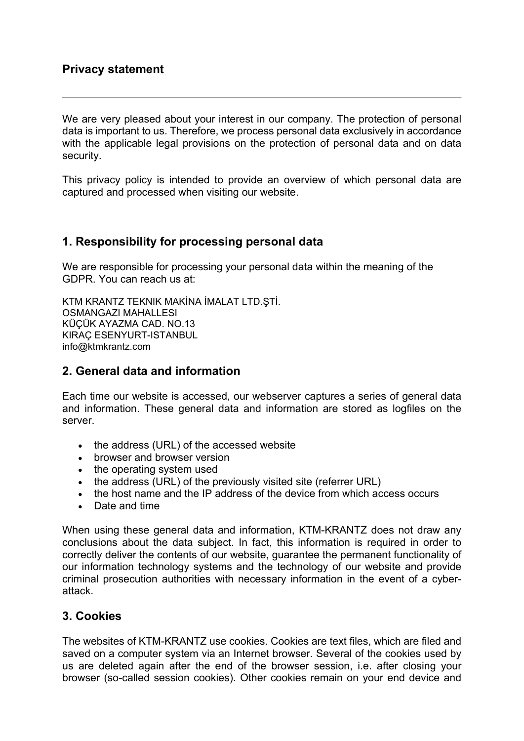We are very pleased about your interest in our company. The protection of personal data is important to us. Therefore, we process personal data exclusively in accordance with the applicable legal provisions on the protection of personal data and on data security.

This privacy policy is intended to provide an overview of which personal data are captured and processed when visiting our website.

## **1. Responsibility for processing personal data**

We are responsible for processing your personal data within the meaning of the GDPR. You can reach us at:

KTM KRANTZ TEKNIK MAKİNA İMALAT LTD.ŞTİ. OSMANGAZI MAHALLESI KÜÇÜK AYAZMA CAD. NO.13 KIRAÇ ESENYURT-ISTANBUL info@ktmkrantz.com

## **2. General data and information**

Each time our website is accessed, our webserver captures a series of general data and information. These general data and information are stored as logfiles on the server.

- the address (URL) of the accessed website
- browser and browser version
- the operating system used
- the address (URL) of the previously visited site (referrer URL)
- the host name and the IP address of the device from which access occurs
- Date and time

When using these general data and information, KTM-KRANTZ does not draw any conclusions about the data subject. In fact, this information is required in order to correctly deliver the contents of our website, guarantee the permanent functionality of our information technology systems and the technology of our website and provide criminal prosecution authorities with necessary information in the event of a cyberattack.

# **3. Cookies**

The websites of KTM-KRANTZ use cookies. Cookies are text files, which are filed and saved on a computer system via an Internet browser. Several of the cookies used by us are deleted again after the end of the browser session, i.e. after closing your browser (so-called session cookies). Other cookies remain on your end device and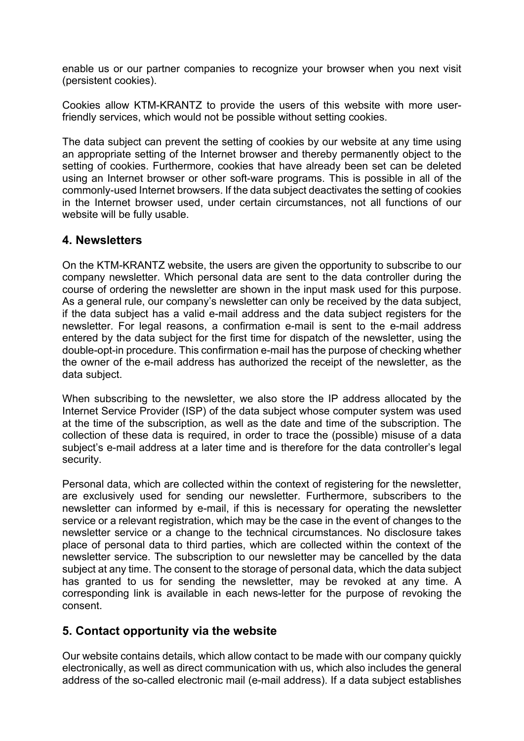enable us or our partner companies to recognize your browser when you next visit (persistent cookies).

Cookies allow KTM-KRANTZ to provide the users of this website with more userfriendly services, which would not be possible without setting cookies.

The data subject can prevent the setting of cookies by our website at any time using an appropriate setting of the Internet browser and thereby permanently object to the setting of cookies. Furthermore, cookies that have already been set can be deleted using an Internet browser or other soft-ware programs. This is possible in all of the commonly-used Internet browsers. If the data subject deactivates the setting of cookies in the Internet browser used, under certain circumstances, not all functions of our website will be fully usable.

### **4. Newsletters**

On the KTM-KRANTZ website, the users are given the opportunity to subscribe to our company newsletter. Which personal data are sent to the data controller during the course of ordering the newsletter are shown in the input mask used for this purpose. As a general rule, our company's newsletter can only be received by the data subject, if the data subject has a valid e-mail address and the data subject registers for the newsletter. For legal reasons, a confirmation e-mail is sent to the e-mail address entered by the data subject for the first time for dispatch of the newsletter, using the double-opt-in procedure. This confirmation e-mail has the purpose of checking whether the owner of the e-mail address has authorized the receipt of the newsletter, as the data subject.

When subscribing to the newsletter, we also store the IP address allocated by the Internet Service Provider (ISP) of the data subject whose computer system was used at the time of the subscription, as well as the date and time of the subscription. The collection of these data is required, in order to trace the (possible) misuse of a data subject's e-mail address at a later time and is therefore for the data controller's legal security.

Personal data, which are collected within the context of registering for the newsletter, are exclusively used for sending our newsletter. Furthermore, subscribers to the newsletter can informed by e-mail, if this is necessary for operating the newsletter service or a relevant registration, which may be the case in the event of changes to the newsletter service or a change to the technical circumstances. No disclosure takes place of personal data to third parties, which are collected within the context of the newsletter service. The subscription to our newsletter may be cancelled by the data subject at any time. The consent to the storage of personal data, which the data subject has granted to us for sending the newsletter, may be revoked at any time. A corresponding link is available in each news-letter for the purpose of revoking the consent.

## **5. Contact opportunity via the website**

Our website contains details, which allow contact to be made with our company quickly electronically, as well as direct communication with us, which also includes the general address of the so-called electronic mail (e-mail address). If a data subject establishes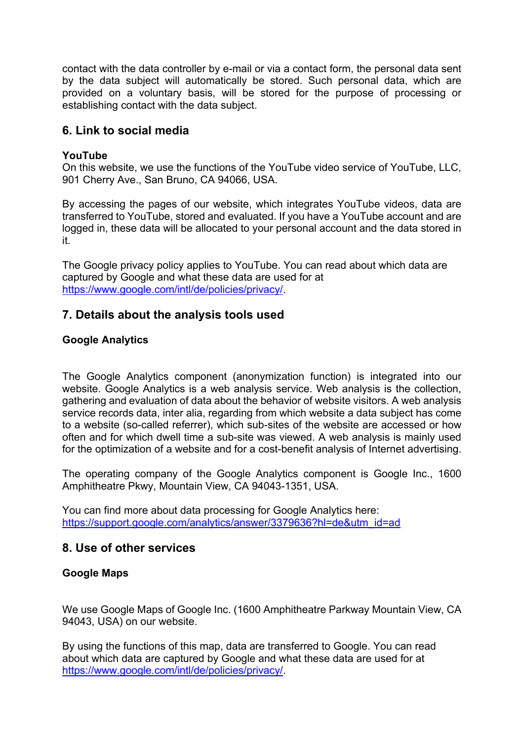contact with the data controller by e-mail or via a contact form, the personal data sent by the data subject will automatically be stored. Such personal data, which are provided on a voluntary basis, will be stored for the purpose of processing or establishing contact with the data subject.

## **6. Link to social media**

#### **YouTube**

On this website, we use the functions of the YouTube video service of YouTube, LLC, 901 Cherry Ave., San Bruno, CA 94066, USA.

By accessing the pages of our website, which integrates YouTube videos, data are transferred to YouTube, stored and evaluated. If you have a YouTube account and are logged in, these data will be allocated to your personal account and the data stored in it.

The Google privacy policy applies to YouTube. You can read about which data are captured by Google and what these data are used for at https://www.google.com/intl/de/policies/privacy/.

### **7. Details about the analysis tools used**

#### **Google Analytics**

The Google Analytics component (anonymization function) is integrated into our website. Google Analytics is a web analysis service. Web analysis is the collection, gathering and evaluation of data about the behavior of website visitors. A web analysis service records data, inter alia, regarding from which website a data subject has come to a website (so-called referrer), which sub-sites of the website are accessed or how often and for which dwell time a sub-site was viewed. A web analysis is mainly used for the optimization of a website and for a cost-benefit analysis of Internet advertising.

The operating company of the Google Analytics component is Google Inc., 1600 Amphitheatre Pkwy, Mountain View, CA 94043-1351, USA.

You can find more about data processing for Google Analytics here: https://support.google.com/analytics/answer/3379636?hl=de&utm\_id=ad

### **8. Use of other services**

#### **Google Maps**

We use Google Maps of Google Inc. (1600 Amphitheatre Parkway Mountain View, CA 94043, USA) on our website.

By using the functions of this map, data are transferred to Google. You can read about which data are captured by Google and what these data are used for at https://www.google.com/intl/de/policies/privacy/.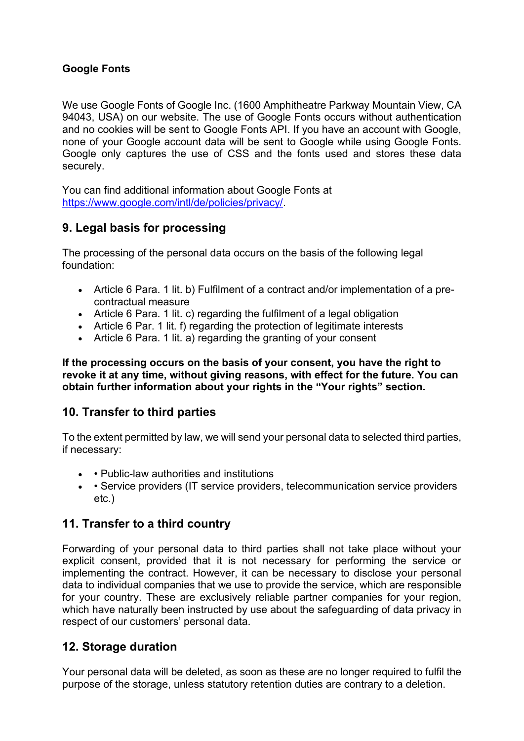### **Google Fonts**

We use Google Fonts of Google Inc. (1600 Amphitheatre Parkway Mountain View, CA 94043, USA) on our website. The use of Google Fonts occurs without authentication and no cookies will be sent to Google Fonts API. If you have an account with Google, none of your Google account data will be sent to Google while using Google Fonts. Google only captures the use of CSS and the fonts used and stores these data securely.

You can find additional information about Google Fonts at https://www.google.com/intl/de/policies/privacy/.

# **9. Legal basis for processing**

The processing of the personal data occurs on the basis of the following legal foundation:

- Article 6 Para. 1 lit. b) Fulfilment of a contract and/or implementation of a precontractual measure
- Article 6 Para, 1 lit. c) regarding the fulfilment of a legal obligation
- Article 6 Par. 1 lit. f) regarding the protection of legitimate interests
- Article 6 Para. 1 lit. a) regarding the granting of your consent

**If the processing occurs on the basis of your consent, you have the right to revoke it at any time, without giving reasons, with effect for the future. You can obtain further information about your rights in the "Your rights" section.** 

## **10. Transfer to third parties**

To the extent permitted by law, we will send your personal data to selected third parties, if necessary:

- • Public-law authorities and institutions
- • Service providers (IT service providers, telecommunication service providers etc.)

## **11. Transfer to a third country**

Forwarding of your personal data to third parties shall not take place without your explicit consent, provided that it is not necessary for performing the service or implementing the contract. However, it can be necessary to disclose your personal data to individual companies that we use to provide the service, which are responsible for your country. These are exclusively reliable partner companies for your region, which have naturally been instructed by use about the safeguarding of data privacy in respect of our customers' personal data.

## **12. Storage duration**

Your personal data will be deleted, as soon as these are no longer required to fulfil the purpose of the storage, unless statutory retention duties are contrary to a deletion.